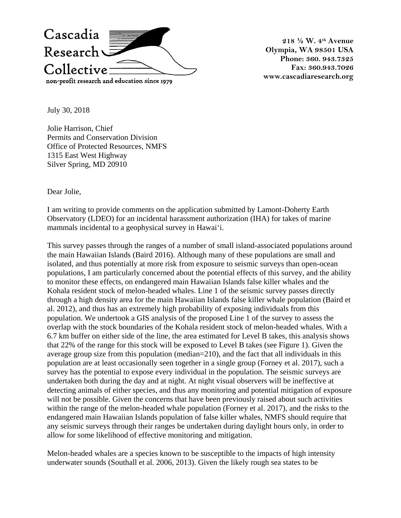

**218 ½ W. 4th Avenue Olympia, WA 98501 USA Phone: 360. 943.7325 Fax: 360.943.7026 www.cascadiaresearch.org**

July 30, 2018

Jolie Harrison, Chief Permits and Conservation Division Office of Protected Resources, NMFS 1315 East West Highway Silver Spring, MD 20910

Dear Jolie,

I am writing to provide comments on the application submitted by Lamont-Doherty Earth Observatory (LDEO) for an incidental harassment authorization (IHA) for takes of marine mammals incidental to a geophysical survey in Hawai'i.

This survey passes through the ranges of a number of small island-associated populations around the main Hawaiian Islands (Baird 2016). Although many of these populations are small and isolated, and thus potentially at more risk from exposure to seismic surveys than open-ocean populations, I am particularly concerned about the potential effects of this survey, and the ability to monitor these effects, on endangered main Hawaiian Islands false killer whales and the Kohala resident stock of melon-headed whales. Line 1 of the seismic survey passes directly through a high density area for the main Hawaiian Islands false killer whale population (Baird et al. 2012), and thus has an extremely high probability of exposing individuals from this population. We undertook a GIS analysis of the proposed Line 1 of the survey to assess the overlap with the stock boundaries of the Kohala resident stock of melon-headed whales. With a 6.7 km buffer on either side of the line, the area estimated for Level B takes, this analysis shows that 22% of the range for this stock will be exposed to Level B takes (see Figure 1). Given the average group size from this population (median=210), and the fact that all individuals in this population are at least occasionally seen together in a single group (Forney et al. 2017), such a survey has the potential to expose every individual in the population. The seismic surveys are undertaken both during the day and at night. At night visual observers will be ineffective at detecting animals of either species, and thus any monitoring and potential mitigation of exposure will not be possible. Given the concerns that have been previously raised about such activities within the range of the melon-headed whale population (Forney et al. 2017), and the risks to the endangered main Hawaiian Islands population of false killer whales, NMFS should require that any seismic surveys through their ranges be undertaken during daylight hours only, in order to allow for some likelihood of effective monitoring and mitigation.

Melon-headed whales are a species known to be susceptible to the impacts of high intensity underwater sounds (Southall et al. 2006, 2013). Given the likely rough sea states to be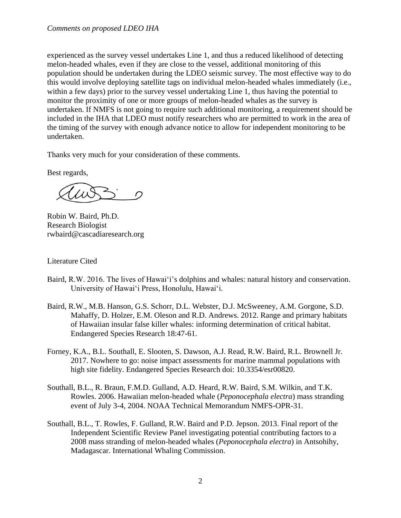experienced as the survey vessel undertakes Line 1, and thus a reduced likelihood of detecting melon-headed whales, even if they are close to the vessel, additional monitoring of this population should be undertaken during the LDEO seismic survey. The most effective way to do this would involve deploying satellite tags on individual melon-headed whales immediately (i.e., within a few days) prior to the survey vessel undertaking Line 1, thus having the potential to monitor the proximity of one or more groups of melon-headed whales as the survey is undertaken. If NMFS is not going to require such additional monitoring, a requirement should be included in the IHA that LDEO must notify researchers who are permitted to work in the area of the timing of the survey with enough advance notice to allow for independent monitoring to be undertaken.

Thanks very much for your consideration of these comments.

Best regards,

 $\Omega$ 

Robin W. Baird, Ph.D. Research Biologist rwbaird@cascadiaresearch.org

Literature Cited

- Baird, R.W. 2016. The lives of Hawai'i's dolphins and whales: natural history and conservation. University of Hawai'i Press, Honolulu, Hawai'i.
- Baird, R.W., M.B. Hanson, G.S. Schorr, D.L. Webster, D.J. McSweeney, A.M. Gorgone, S.D. Mahaffy, D. Holzer, E.M. Oleson and R.D. Andrews. 2012. Range and primary habitats of Hawaiian insular false killer whales: informing determination of critical habitat. Endangered Species Research 18:47-61.
- Forney, K.A., B.L. Southall, E. Slooten, S. Dawson, A.J. Read, R.W. Baird, R.L. Brownell Jr. 2017. Nowhere to go: noise impact assessments for marine mammal populations with high site fidelity. Endangered Species Research doi: 10.3354/esr00820.
- Southall, B.L., R. Braun, F.M.D. Gulland, A.D. Heard, R.W. Baird, S.M. Wilkin, and T.K. Rowles. 2006. Hawaiian melon-headed whale (*Peponocephala electra*) mass stranding event of July 3-4, 2004. NOAA Technical Memorandum NMFS-OPR-31.
- Southall, B.L., T. Rowles, F. Gulland, R.W. Baird and P.D. Jepson. 2013. Final report of the Independent Scientific Review Panel investigating potential contributing factors to a 2008 mass stranding of melon-headed whales (*Peponocephala electra*) in Antsohihy, Madagascar. International Whaling Commission.